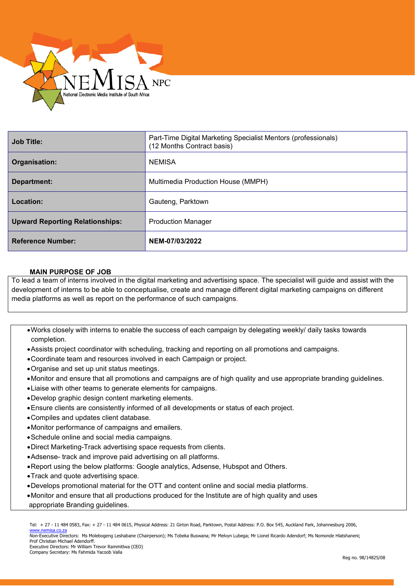

| <b>Job Title:</b>                      | Part-Time Digital Marketing Specialist Mentors (professionals)<br>(12 Months Contract basis) |
|----------------------------------------|----------------------------------------------------------------------------------------------|
| Organisation:                          | <b>NEMISA</b>                                                                                |
| Department:                            | Multimedia Production House (MMPH)                                                           |
| Location:                              | Gauteng, Parktown                                                                            |
| <b>Upward Reporting Relationships:</b> | <b>Production Manager</b>                                                                    |
| <b>Reference Number:</b>               | NEM-07/03/2022                                                                               |

## **MAIN PURPOSE OF JOB**

To lead a team of interns involved in the digital marketing and advertising space. The specialist will guide and assist with the development of interns to be able to conceptualise, create and manage different digital marketing campaigns on different media platforms as well as report on the performance of such campaigns.

- •Works closely with interns to enable the success of each campaign by delegating weekly/ daily tasks towards completion.
- •Assists project coordinator with scheduling, tracking and reporting on all promotions and campaigns.
- •Coordinate team and resources involved in each Campaign or project.
- •Organise and set up unit status meetings.
- •Monitor and ensure that all promotions and campaigns are of high quality and use appropriate branding guidelines.
- •Liaise with other teams to generate elements for campaigns.
- •Develop graphic design content marketing elements.
- •Ensure clients are consistently informed of all developments or status of each project.
- •Compiles and updates client database.
- •Monitor performance of campaigns and emailers.
- •Schedule online and social media campaigns.
- •Direct Marketing-Track advertising space requests from clients.
- •Adsense- track and improve paid advertising on all platforms.
- •Report using the below platforms: Google analytics, Adsense, Hubspot and Others.
- •Track and quote advertising space.
- •Develops promotional material for the OTT and content online and social media platforms.
- •Monitor and ensure that all productions produced for the Institute are of high quality and uses appropriate Branding guidelines.

Tel: + 27 - 11 484 0583, Fax: + 27 - 11 484 0615, Physical Address: 21 Girton Road, Parktown, Postal Address: P.O. Box 545, Auckland Park, Johannesburg 2006, [www.nemisa.co.za](http://www.nemisa.co.za/)

Non-Executive Directors: Ms Molebogeng Leshabane (Chairperson); Ms Tobeka Buswana; Mr Melvyn Lubega; Mr Lionel Ricardo Adendorf; Ms Nomonde Hlatshaneni; Prof Christian Michael Adendorff.

Executive Directors: Mr William Trevor Rammitlwa (CEO) Company Secretary: Ms Fahmida Yacoob Valla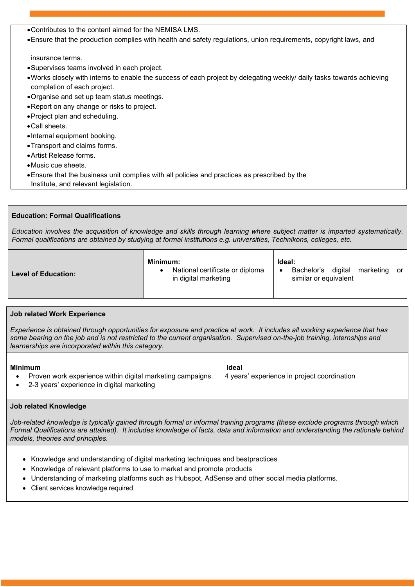- •Contributes to the content aimed for the NEMISA LMS.
- •Ensure that the production complies with health and safety regulations, union requirements, copyright laws, and

insurance terms.

- •Supervises teams involved in each project.
- •Works closely with interns to enable the success of each project by delegating weekly/ daily tasks towards achieving completion of each project.
- •Organise and set up team status meetings.
- •Report on any change or risks to project.
- •Project plan and scheduling.
- •Call sheets.
- •Internal equipment booking.
- •Transport and claims forms.
- •Artist Release forms.
- •Music cue sheets.
- •Ensure that the business unit complies with all policies and practices as prescribed by the Institute, and relevant legislation.

# **Education: Formal Qualifications**

*Education involves the acquisition of knowledge and skills through learning where subject matter is imparted systematically. Formal qualifications are obtained by studying at formal institutions e.g. universities, Technikons, colleges, etc.*

| <b>Level of Education:</b> | Minimum:<br>National certificate or diploma<br>in digital marketing | Ideal:<br>digital<br>Bachelor's<br>marketing or<br>similar or equivalent |
|----------------------------|---------------------------------------------------------------------|--------------------------------------------------------------------------|
|----------------------------|---------------------------------------------------------------------|--------------------------------------------------------------------------|

## **Job related Work Experience**

*Experience is obtained through opportunities for exposure and practice at work. It includes all working experience that has some bearing on the job and is not restricted to the current organisation. Supervised on-the-job training, internships and learnerships are incorporated within this category.*

## **Minimum Ideal**

- Proven work experience within digital marketing campaigns. 4 years' experience in project coordination
- 2-3 years' experience in digital marketing

## **Job related Knowledge**

*Job-related knowledge is typically gained through formal or informal training programs (these exclude programs through which Formal Qualifications are attained). It includes knowledge of facts, data and information and understanding the rationale behind models, theories and principles.*

- Knowledge and understanding of digital marketing techniques and bestpractices
- Knowledge of relevant platforms to use to market and promote products
- Understanding of marketing platforms such as Hubspot, AdSense and other social media platforms.
- Client services knowledge required